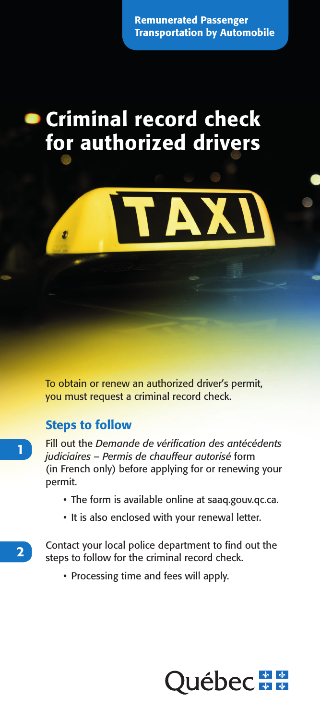Remunerated Passenger Transportation by Automobile

# Criminal record check for authorized drivers



To obtain or renew an authorized driver's permit, you must request a criminal record check.

### Steps to follow

Fill out the *Demande de vérification des antécédents judiciaires – Permis de chauffeur autorisé* form (in French only) before applying for or renewing your permit.

- The form is available online at saaq.gouv.qc.ca.
- It is also enclosed with your renewal letter.

Contact your local police department to find out the steps to follow for the criminal record check.

• Processing time and fees will apply.



2